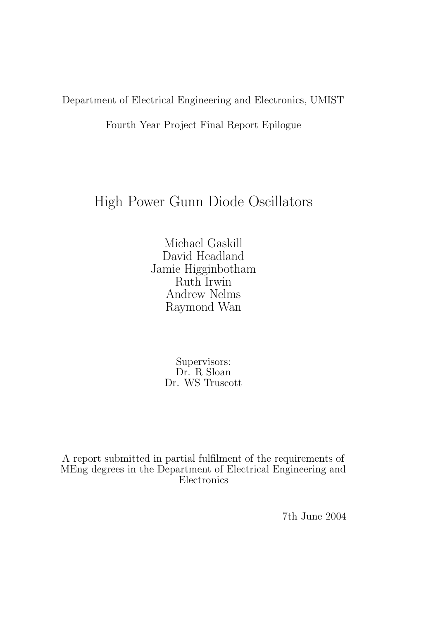Department of Electrical Engineering and Electronics, UMIST

Fourth Year Project Final Report Epilogue

# High Power Gunn Diode Oscillators

Michael Gaskill David Headland Jamie Higginbotham Ruth Irwin Andrew Nelms Raymond Wan

> Supervisors: Dr. R Sloan Dr. WS Truscott

A report submitted in partial fulfilment of the requirements of MEng degrees in the Department of Electrical Engineering and Electronics

7th June 2004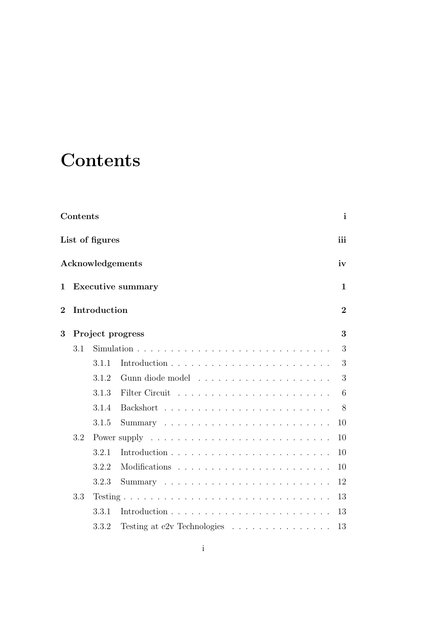# **Contents**

| Contents                       |                  |       |                                                                  |              |  |  |  |  |  |  |  |  |  |
|--------------------------------|------------------|-------|------------------------------------------------------------------|--------------|--|--|--|--|--|--|--|--|--|
| List of figures                |                  |       |                                                                  |              |  |  |  |  |  |  |  |  |  |
| Acknowledgements               |                  |       |                                                                  |              |  |  |  |  |  |  |  |  |  |
| 1                              |                  |       | <b>Executive summary</b>                                         | $\mathbf{1}$ |  |  |  |  |  |  |  |  |  |
| Introduction<br>$\overline{2}$ |                  |       |                                                                  |              |  |  |  |  |  |  |  |  |  |
| 3                              | Project progress |       |                                                                  |              |  |  |  |  |  |  |  |  |  |
|                                | 3.1              |       |                                                                  | 3            |  |  |  |  |  |  |  |  |  |
|                                |                  | 3.1.1 |                                                                  | 3            |  |  |  |  |  |  |  |  |  |
|                                |                  | 3.1.2 |                                                                  | 3            |  |  |  |  |  |  |  |  |  |
|                                |                  | 3.1.3 |                                                                  | 6            |  |  |  |  |  |  |  |  |  |
|                                |                  | 3.1.4 |                                                                  | 8            |  |  |  |  |  |  |  |  |  |
|                                |                  | 3.1.5 |                                                                  | 10           |  |  |  |  |  |  |  |  |  |
|                                | 3.2              |       |                                                                  | 10           |  |  |  |  |  |  |  |  |  |
|                                |                  | 3.2.1 |                                                                  | 10           |  |  |  |  |  |  |  |  |  |
|                                |                  | 3.2.2 |                                                                  | 10           |  |  |  |  |  |  |  |  |  |
|                                |                  | 3.2.3 |                                                                  | 12           |  |  |  |  |  |  |  |  |  |
|                                | 3.3              |       |                                                                  | 13           |  |  |  |  |  |  |  |  |  |
|                                |                  | 3.3.1 |                                                                  | 13           |  |  |  |  |  |  |  |  |  |
|                                |                  | 3.3.2 | Testing at e2v Technologies $\ldots \ldots \ldots \ldots \ldots$ | 13           |  |  |  |  |  |  |  |  |  |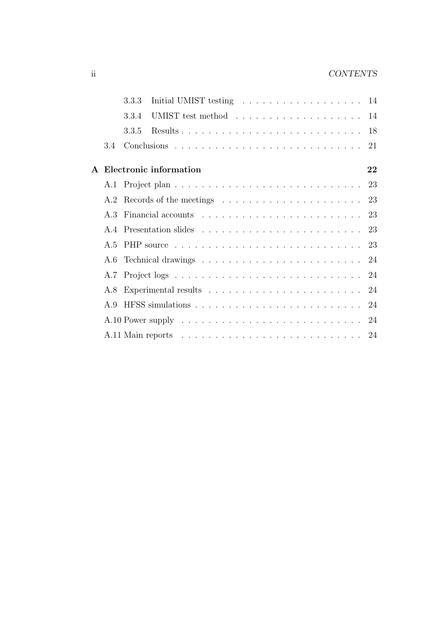#### ii CONTENTS

|                | 3.3.3 | Initial UMIST testing $\ldots \ldots \ldots \ldots \ldots \ldots 14$                         |  |  |  |  |  |  |  |  |  |    |
|----------------|-------|----------------------------------------------------------------------------------------------|--|--|--|--|--|--|--|--|--|----|
|                | 3.3.4 | UMIST test method 14                                                                         |  |  |  |  |  |  |  |  |  |    |
|                | 3.3.5 |                                                                                              |  |  |  |  |  |  |  |  |  |    |
| 34             |       |                                                                                              |  |  |  |  |  |  |  |  |  |    |
|                |       | A Electronic information                                                                     |  |  |  |  |  |  |  |  |  | 22 |
|                |       |                                                                                              |  |  |  |  |  |  |  |  |  |    |
|                |       | A.2 Records of the meetings $\dots \dots \dots \dots \dots \dots \dots \dots \dots \dots$ 23 |  |  |  |  |  |  |  |  |  |    |
| A $3$          |       |                                                                                              |  |  |  |  |  |  |  |  |  |    |
| A 4            |       |                                                                                              |  |  |  |  |  |  |  |  |  |    |
| A.5            |       |                                                                                              |  |  |  |  |  |  |  |  |  |    |
|                |       |                                                                                              |  |  |  |  |  |  |  |  |  |    |
| A.7            |       |                                                                                              |  |  |  |  |  |  |  |  |  |    |
| A.8            |       |                                                                                              |  |  |  |  |  |  |  |  |  |    |
| A <sub>9</sub> |       |                                                                                              |  |  |  |  |  |  |  |  |  |    |
|                |       |                                                                                              |  |  |  |  |  |  |  |  |  |    |
|                |       |                                                                                              |  |  |  |  |  |  |  |  |  |    |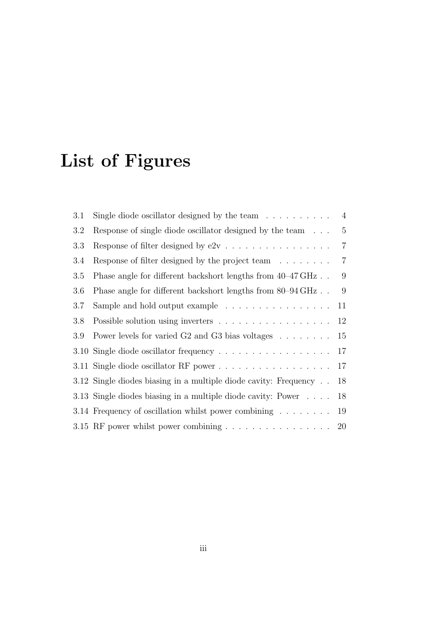# List of Figures

| 3.1 | Single diode oscillator designed by the team $\dots \dots \dots$ 4                  |                |
|-----|-------------------------------------------------------------------------------------|----------------|
| 3.2 | Response of single diode oscillator designed by the team                            | $\overline{5}$ |
| 3.3 |                                                                                     | $\overline{7}$ |
| 3.4 | Response of filter designed by the project team $\ldots \ldots$                     | $\overline{7}$ |
| 3.5 | Phase angle for different backshort lengths from $40-47 \text{ GHz}$ .              | 9              |
| 3.6 | Phase angle for different backshort lengths from 80–94 GHz                          | 9              |
| 3.7 | Sample and hold output example $\dots \dots \dots \dots \dots$                      | 11             |
| 3.8 |                                                                                     | 12             |
| 3.9 | Power levels for varied G2 and G3 bias voltages                                     | 15             |
|     |                                                                                     | 17             |
|     |                                                                                     | 17             |
|     | 3.12 Single diodes biasing in a multiple diode cavity: Frequency                    | 18             |
|     | 3.13 Single diodes biasing in a multiple diode cavity: Power                        | 18             |
|     | 3.14 Frequency of oscillation whilst power combining                                | 19             |
|     | 3.15 RF power whilst power combining $\ldots \ldots \ldots \ldots \ldots \ldots$ 20 |                |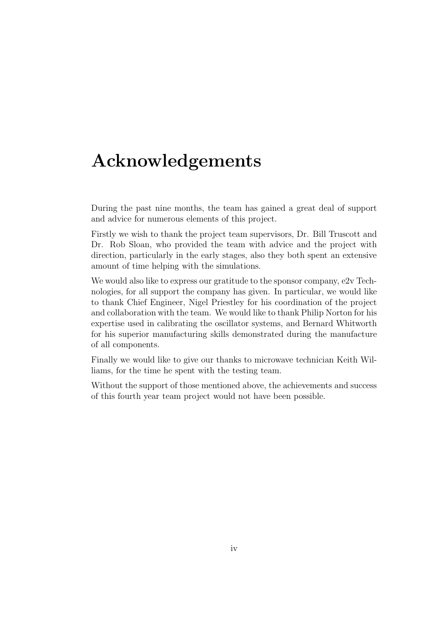# Acknowledgements

During the past nine months, the team has gained a great deal of support and advice for numerous elements of this project.

Firstly we wish to thank the project team supervisors, Dr. Bill Truscott and Dr. Rob Sloan, who provided the team with advice and the project with direction, particularly in the early stages, also they both spent an extensive amount of time helping with the simulations.

We would also like to express our gratitude to the sponsor company, e2v Technologies, for all support the company has given. In particular, we would like to thank Chief Engineer, Nigel Priestley for his coordination of the project and collaboration with the team. We would like to thank Philip Norton for his expertise used in calibrating the oscillator systems, and Bernard Whitworth for his superior manufacturing skills demonstrated during the manufacture of all components.

Finally we would like to give our thanks to microwave technician Keith Williams, for the time he spent with the testing team.

Without the support of those mentioned above, the achievements and success of this fourth year team project would not have been possible.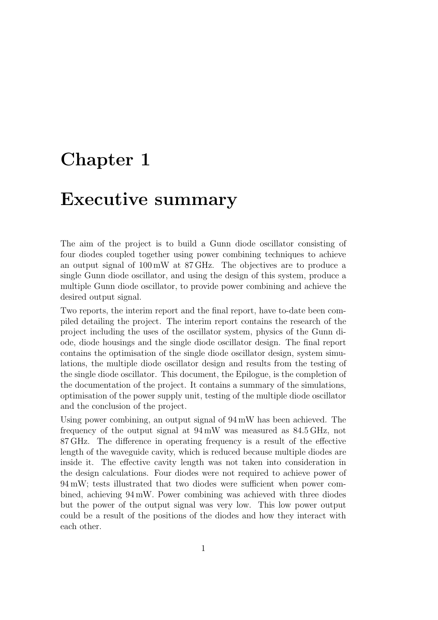# Chapter 1

# Executive summary

The aim of the project is to build a Gunn diode oscillator consisting of four diodes coupled together using power combining techniques to achieve an output signal of 100 mW at 87 GHz. The objectives are to produce a single Gunn diode oscillator, and using the design of this system, produce a multiple Gunn diode oscillator, to provide power combining and achieve the desired output signal.

Two reports, the interim report and the final report, have to-date been compiled detailing the project. The interim report contains the research of the project including the uses of the oscillator system, physics of the Gunn diode, diode housings and the single diode oscillator design. The final report contains the optimisation of the single diode oscillator design, system simulations, the multiple diode oscillator design and results from the testing of the single diode oscillator. This document, the Epilogue, is the completion of the documentation of the project. It contains a summary of the simulations, optimisation of the power supply unit, testing of the multiple diode oscillator and the conclusion of the project.

Using power combining, an output signal of 94 mW has been achieved. The frequency of the output signal at 94 mW was measured as 84.5 GHz, not 87 GHz. The difference in operating frequency is a result of the effective length of the waveguide cavity, which is reduced because multiple diodes are inside it. The effective cavity length was not taken into consideration in the design calculations. Four diodes were not required to achieve power of 94 mW; tests illustrated that two diodes were sufficient when power combined, achieving 94 mW. Power combining was achieved with three diodes but the power of the output signal was very low. This low power output could be a result of the positions of the diodes and how they interact with each other.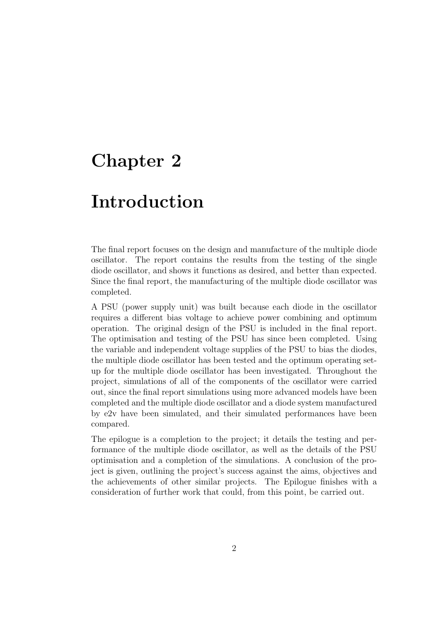# Chapter 2

# Introduction

The final report focuses on the design and manufacture of the multiple diode oscillator. The report contains the results from the testing of the single diode oscillator, and shows it functions as desired, and better than expected. Since the final report, the manufacturing of the multiple diode oscillator was completed.

A PSU (power supply unit) was built because each diode in the oscillator requires a different bias voltage to achieve power combining and optimum operation. The original design of the PSU is included in the final report. The optimisation and testing of the PSU has since been completed. Using the variable and independent voltage supplies of the PSU to bias the diodes, the multiple diode oscillator has been tested and the optimum operating setup for the multiple diode oscillator has been investigated. Throughout the project, simulations of all of the components of the oscillator were carried out, since the final report simulations using more advanced models have been completed and the multiple diode oscillator and a diode system manufactured by e2v have been simulated, and their simulated performances have been compared.

The epilogue is a completion to the project; it details the testing and performance of the multiple diode oscillator, as well as the details of the PSU optimisation and a completion of the simulations. A conclusion of the project is given, outlining the project's success against the aims, objectives and the achievements of other similar projects. The Epilogue finishes with a consideration of further work that could, from this point, be carried out.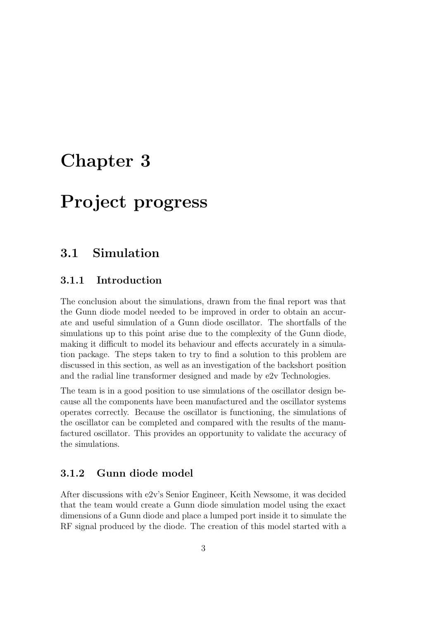# Chapter 3

# Project progress

### 3.1 Simulation

#### 3.1.1 Introduction

The conclusion about the simulations, drawn from the final report was that the Gunn diode model needed to be improved in order to obtain an accurate and useful simulation of a Gunn diode oscillator. The shortfalls of the simulations up to this point arise due to the complexity of the Gunn diode, making it difficult to model its behaviour and effects accurately in a simulation package. The steps taken to try to find a solution to this problem are discussed in this section, as well as an investigation of the backshort position and the radial line transformer designed and made by e2v Technologies.

The team is in a good position to use simulations of the oscillator design because all the components have been manufactured and the oscillator systems operates correctly. Because the oscillator is functioning, the simulations of the oscillator can be completed and compared with the results of the manufactured oscillator. This provides an opportunity to validate the accuracy of the simulations.

#### 3.1.2 Gunn diode model

After discussions with e2v's Senior Engineer, Keith Newsome, it was decided that the team would create a Gunn diode simulation model using the exact dimensions of a Gunn diode and place a lumped port inside it to simulate the RF signal produced by the diode. The creation of this model started with a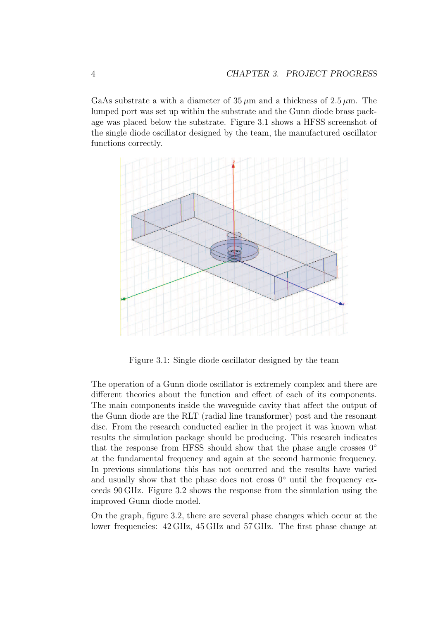GaAs substrate a with a diameter of  $35 \mu m$  and a thickness of  $2.5 \mu m$ . The lumped port was set up within the substrate and the Gunn diode brass package was placed below the substrate. Figure 3.1 shows a HFSS screenshot of the single diode oscillator designed by the team, the manufactured oscillator functions correctly.



Figure 3.1: Single diode oscillator designed by the team

The operation of a Gunn diode oscillator is extremely complex and there are different theories about the function and effect of each of its components. The main components inside the waveguide cavity that affect the output of the Gunn diode are the RLT (radial line transformer) post and the resonant disc. From the research conducted earlier in the project it was known what results the simulation package should be producing. This research indicates that the response from HFSS should show that the phase angle crosses  $0^{\circ}$ at the fundamental frequency and again at the second harmonic frequency. In previous simulations this has not occurred and the results have varied and usually show that the phase does not cross  $0^{\circ}$  until the frequency exceeds 90 GHz. Figure 3.2 shows the response from the simulation using the improved Gunn diode model.

On the graph, figure 3.2, there are several phase changes which occur at the lower frequencies: 42 GHz, 45 GHz and 57 GHz. The first phase change at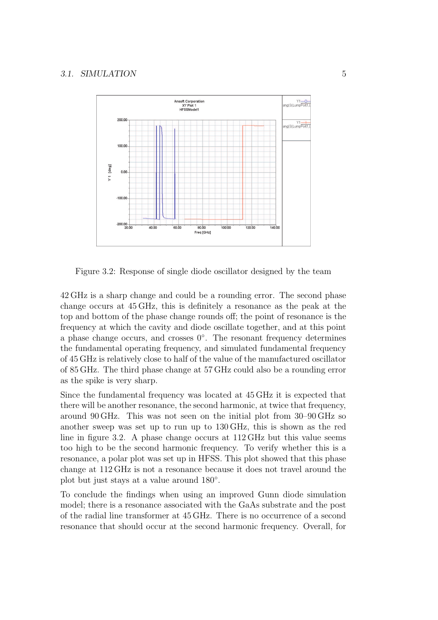

Figure 3.2: Response of single diode oscillator designed by the team

42 GHz is a sharp change and could be a rounding error. The second phase change occurs at 45 GHz, this is definitely a resonance as the peak at the top and bottom of the phase change rounds off; the point of resonance is the frequency at which the cavity and diode oscillate together, and at this point a phase change occurs, and crosses  $0^{\circ}$ . The resonant frequency determines the fundamental operating frequency, and simulated fundamental frequency of 45 GHz is relatively close to half of the value of the manufactured oscillator of 85 GHz. The third phase change at 57 GHz could also be a rounding error as the spike is very sharp.

Since the fundamental frequency was located at 45 GHz it is expected that there will be another resonance, the second harmonic, at twice that frequency, around 90 GHz. This was not seen on the initial plot from 30–90 GHz so another sweep was set up to run up to 130 GHz, this is shown as the red line in figure 3.2. A phase change occurs at 112 GHz but this value seems too high to be the second harmonic frequency. To verify whether this is a resonance, a polar plot was set up in HFSS. This plot showed that this phase change at 112 GHz is not a resonance because it does not travel around the plot but just stays at a value around 180<sup>°</sup>.

To conclude the findings when using an improved Gunn diode simulation model; there is a resonance associated with the GaAs substrate and the post of the radial line transformer at 45 GHz. There is no occurrence of a second resonance that should occur at the second harmonic frequency. Overall, for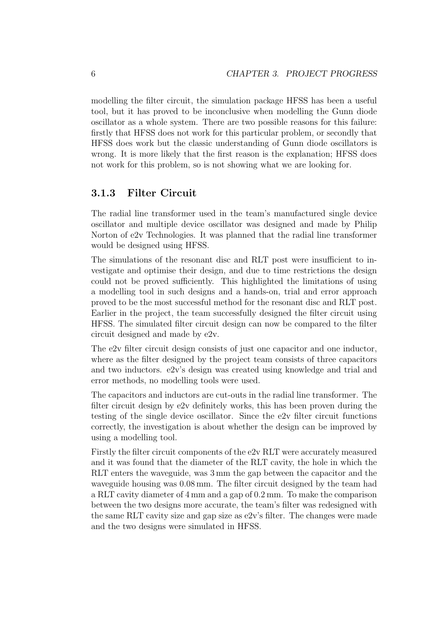modelling the filter circuit, the simulation package HFSS has been a useful tool, but it has proved to be inconclusive when modelling the Gunn diode oscillator as a whole system. There are two possible reasons for this failure: firstly that HFSS does not work for this particular problem, or secondly that HFSS does work but the classic understanding of Gunn diode oscillators is wrong. It is more likely that the first reason is the explanation; HFSS does not work for this problem, so is not showing what we are looking for.

#### 3.1.3 Filter Circuit

The radial line transformer used in the team's manufactured single device oscillator and multiple device oscillator was designed and made by Philip Norton of e2v Technologies. It was planned that the radial line transformer would be designed using HFSS.

The simulations of the resonant disc and RLT post were insufficient to investigate and optimise their design, and due to time restrictions the design could not be proved sufficiently. This highlighted the limitations of using a modelling tool in such designs and a hands-on, trial and error approach proved to be the most successful method for the resonant disc and RLT post. Earlier in the project, the team successfully designed the filter circuit using HFSS. The simulated filter circuit design can now be compared to the filter circuit designed and made by e2v.

The e2v filter circuit design consists of just one capacitor and one inductor, where as the filter designed by the project team consists of three capacitors and two inductors. e2v's design was created using knowledge and trial and error methods, no modelling tools were used.

The capacitors and inductors are cut-outs in the radial line transformer. The filter circuit design by e2v definitely works, this has been proven during the testing of the single device oscillator. Since the e2v filter circuit functions correctly, the investigation is about whether the design can be improved by using a modelling tool.

Firstly the filter circuit components of the e2v RLT were accurately measured and it was found that the diameter of the RLT cavity, the hole in which the RLT enters the waveguide, was 3 mm the gap between the capacitor and the waveguide housing was 0.08 mm. The filter circuit designed by the team had a RLT cavity diameter of 4 mm and a gap of 0.2 mm. To make the comparison between the two designs more accurate, the team's filter was redesigned with the same RLT cavity size and gap size as  $e2v$ 's filter. The changes were made and the two designs were simulated in HFSS.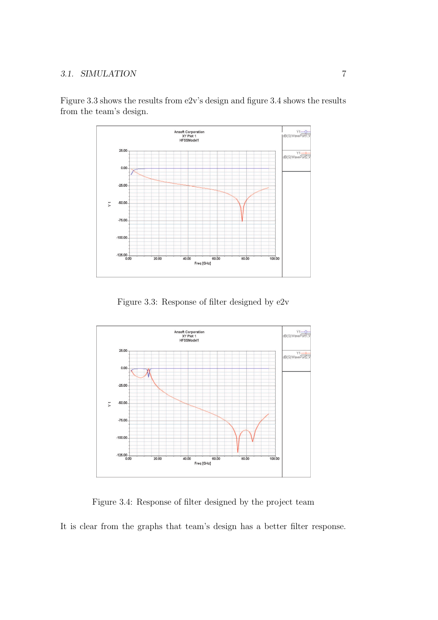#### 3.1. SIMULATION 7



Figure 3.3 shows the results from e2v's design and figure 3.4 shows the results from the team's design.

Figure 3.3: Response of filter designed by e2v



Figure 3.4: Response of filter designed by the project team

It is clear from the graphs that team's design has a better filter response.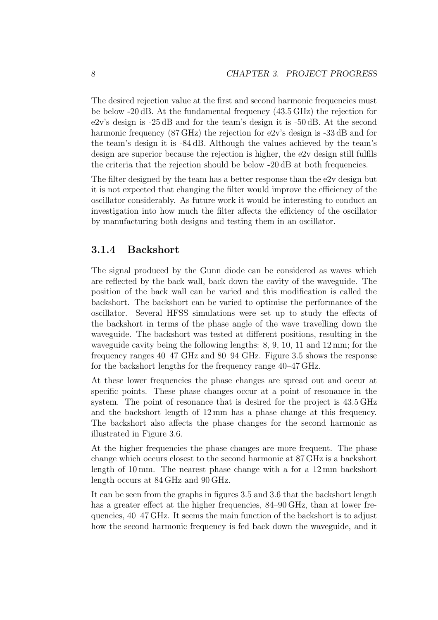The desired rejection value at the first and second harmonic frequencies must be below -20 dB. At the fundamental frequency (43.5 GHz) the rejection for e2v's design is -25 dB and for the team's design it is -50 dB. At the second harmonic frequency  $(87 \text{ GHz})$  the rejection for e2v's design is -33 dB and for the team's design it is -84 dB. Although the values achieved by the team's design are superior because the rejection is higher, the e2v design still fulfils the criteria that the rejection should be below -20 dB at both frequencies.

The filter designed by the team has a better response than the e2v design but it is not expected that changing the filter would improve the efficiency of the oscillator considerably. As future work it would be interesting to conduct an investigation into how much the filter affects the efficiency of the oscillator by manufacturing both designs and testing them in an oscillator.

#### 3.1.4 Backshort

The signal produced by the Gunn diode can be considered as waves which are reflected by the back wall, back down the cavity of the waveguide. The position of the back wall can be varied and this modification is called the backshort. The backshort can be varied to optimise the performance of the oscillator. Several HFSS simulations were set up to study the effects of the backshort in terms of the phase angle of the wave travelling down the waveguide. The backshort was tested at different positions, resulting in the waveguide cavity being the following lengths: 8, 9, 10, 11 and 12 mm; for the frequency ranges 40–47 GHz and 80–94 GHz. Figure 3.5 shows the response for the backshort lengths for the frequency range 40–47 GHz.

At these lower frequencies the phase changes are spread out and occur at specific points. These phase changes occur at a point of resonance in the system. The point of resonance that is desired for the project is 43.5 GHz and the backshort length of 12 mm has a phase change at this frequency. The backshort also affects the phase changes for the second harmonic as illustrated in Figure 3.6.

At the higher frequencies the phase changes are more frequent. The phase change which occurs closest to the second harmonic at 87 GHz is a backshort length of 10 mm. The nearest phase change with a for a 12 mm backshort length occurs at 84 GHz and 90 GHz.

It can be seen from the graphs in figures 3.5 and 3.6 that the backshort length has a greater effect at the higher frequencies,  $84-90$  GHz, than at lower frequencies, 40–47 GHz. It seems the main function of the backshort is to adjust how the second harmonic frequency is fed back down the waveguide, and it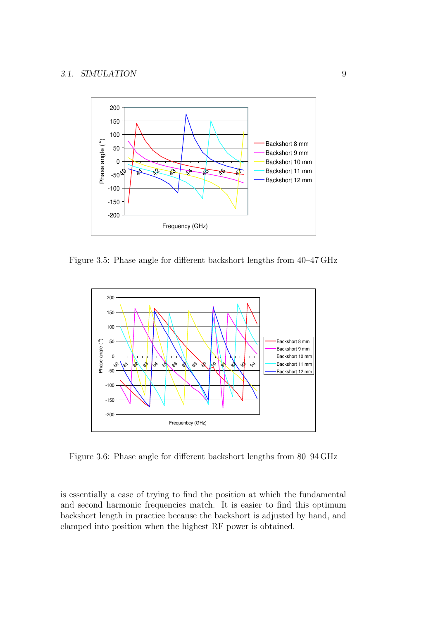

Figure 3.5: Phase angle for different backshort lengths from 40–47 GHz



Figure 3.6: Phase angle for different backshort lengths from 80–94 GHz

is essentially a case of trying to find the position at which the fundamental and second harmonic frequencies match. It is easier to find this optimum backshort length in practice because the backshort is adjusted by hand, and clamped into position when the highest RF power is obtained.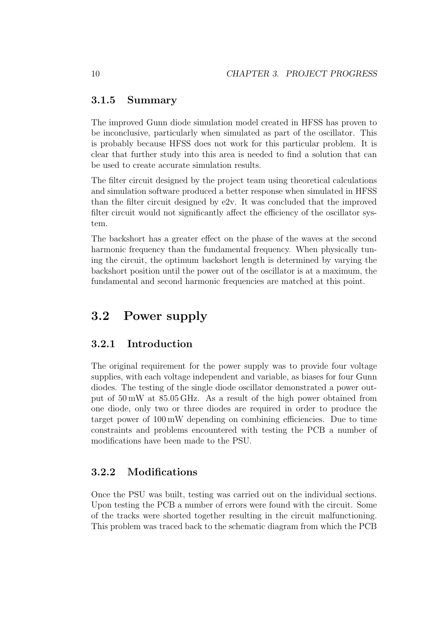#### 3.1.5 Summary

The improved Gunn diode simulation model created in HFSS has proven to be inconclusive, particularly when simulated as part of the oscillator. This is probably because HFSS does not work for this particular problem. It is clear that further study into this area is needed to find a solution that can be used to create accurate simulation results.

The filter circuit designed by the project team using theoretical calculations and simulation software produced a better response when simulated in HFSS than the filter circuit designed by  $e2y$ . It was concluded that the improved filter circuit would not significantly affect the efficiency of the oscillator system.

The backshort has a greater effect on the phase of the waves at the second harmonic frequency than the fundamental frequency. When physically tuning the circuit, the optimum backshort length is determined by varying the backshort position until the power out of the oscillator is at a maximum, the fundamental and second harmonic frequencies are matched at this point.

### 3.2 Power supply

#### 3.2.1 Introduction

The original requirement for the power supply was to provide four voltage supplies, with each voltage independent and variable, as biases for four Gunn diodes. The testing of the single diode oscillator demonstrated a power output of 50 mW at 85.05 GHz. As a result of the high power obtained from one diode, only two or three diodes are required in order to produce the target power of 100 mW depending on combining efficiencies. Due to time constraints and problems encountered with testing the PCB a number of modifications have been made to the PSU.

#### 3.2.2 Modifications

Once the PSU was built, testing was carried out on the individual sections. Upon testing the PCB a number of errors were found with the circuit. Some of the tracks were shorted together resulting in the circuit malfunctioning. This problem was traced back to the schematic diagram from which the PCB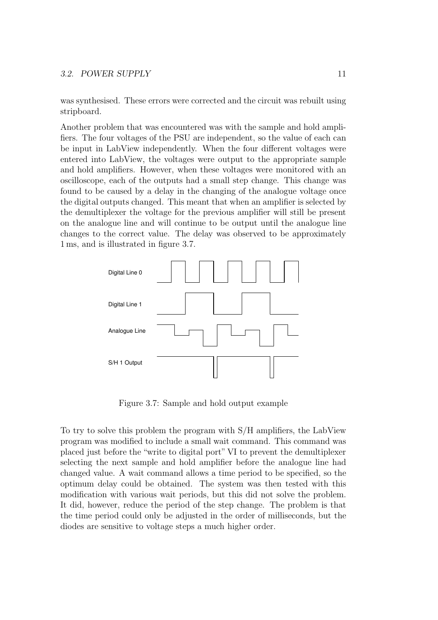#### 3.2. POWER SUPPLY 11

was synthesised. These errors were corrected and the circuit was rebuilt using stripboard.

Another problem that was encountered was with the sample and hold amplifiers. The four voltages of the PSU are independent, so the value of each can be input in LabView independently. When the four different voltages were entered into LabView, the voltages were output to the appropriate sample and hold amplifiers. However, when these voltages were monitored with an oscilloscope, each of the outputs had a small step change. This change was found to be caused by a delay in the changing of the analogue voltage once the digital outputs changed. This meant that when an amplifier is selected by the demultiplexer the voltage for the previous amplifier will still be present on the analogue line and will continue to be output until the analogue line changes to the correct value. The delay was observed to be approximately 1 ms, and is illustrated in figure 3.7.



Figure 3.7: Sample and hold output example

To try to solve this problem the program with S/H amplifiers, the LabView program was modified to include a small wait command. This command was placed just before the "write to digital port" VI to prevent the demultiplexer selecting the next sample and hold amplifier before the analogue line had changed value. A wait command allows a time period to be specified, so the optimum delay could be obtained. The system was then tested with this modification with various wait periods, but this did not solve the problem. It did, however, reduce the period of the step change. The problem is that the time period could only be adjusted in the order of milliseconds, but the diodes are sensitive to voltage steps a much higher order.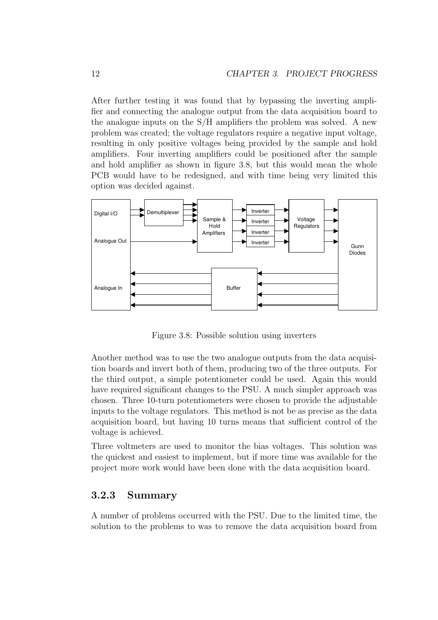After further testing it was found that by bypassing the inverting amplifier and connecting the analogue output from the data acquisition board to the analogue inputs on the S/H amplifiers the problem was solved. A new problem was created; the voltage regulators require a negative input voltage, resulting in only positive voltages being provided by the sample and hold amplifiers. Four inverting amplifiers could be positioned after the sample and hold amplifier as shown in figure 3.8, but this would mean the whole PCB would have to be redesigned, and with time being very limited this option was decided against.



Figure 3.8: Possible solution using inverters

Another method was to use the two analogue outputs from the data acquisition boards and invert both of them, producing two of the three outputs. For the third output, a simple potentiometer could be used. Again this would have required significant changes to the PSU. A much simpler approach was chosen. Three 10-turn potentiometers were chosen to provide the adjustable inputs to the voltage regulators. This method is not be as precise as the data acquisition board, but having 10 turns means that sufficient control of the voltage is achieved.

Three voltmeters are used to monitor the bias voltages. This solution was the quickest and easiest to implement, but if more time was available for the project more work would have been done with the data acquisition board.

#### 3.2.3 Summary

A number of problems occurred with the PSU. Due to the limited time, the solution to the problems to was to remove the data acquisition board from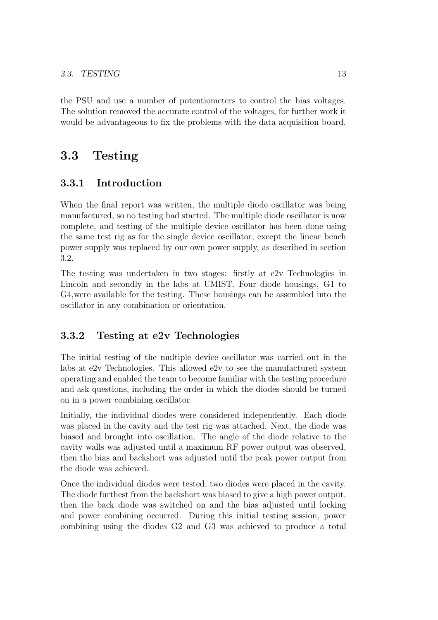the PSU and use a number of potentiometers to control the bias voltages. The solution removed the accurate control of the voltages, for further work it would be advantageous to fix the problems with the data acquisition board.

# 3.3 Testing

#### 3.3.1 Introduction

When the final report was written, the multiple diode oscillator was being manufactured, so no testing had started. The multiple diode oscillator is now complete, and testing of the multiple device oscillator has been done using the same test rig as for the single device oscillator, except the linear bench power supply was replaced by our own power supply, as described in section 3.2.

The testing was undertaken in two stages: firstly at e2v Technologies in Lincoln and secondly in the labs at UMIST. Four diode housings, G1 to G4,were available for the testing. These housings can be assembled into the oscillator in any combination or orientation.

### 3.3.2 Testing at e2v Technologies

The initial testing of the multiple device oscillator was carried out in the labs at e2v Technologies. This allowed e2v to see the manufactured system operating and enabled the team to become familiar with the testing procedure and ask questions, including the order in which the diodes should be turned on in a power combining oscillator.

Initially, the individual diodes were considered independently. Each diode was placed in the cavity and the test rig was attached. Next, the diode was biased and brought into oscillation. The angle of the diode relative to the cavity walls was adjusted until a maximum RF power output was observed, then the bias and backshort was adjusted until the peak power output from the diode was achieved.

Once the individual diodes were tested, two diodes were placed in the cavity. The diode furthest from the backshort was biased to give a high power output, then the back diode was switched on and the bias adjusted until locking and power combining occurred. During this initial testing session, power combining using the diodes G2 and G3 was achieved to produce a total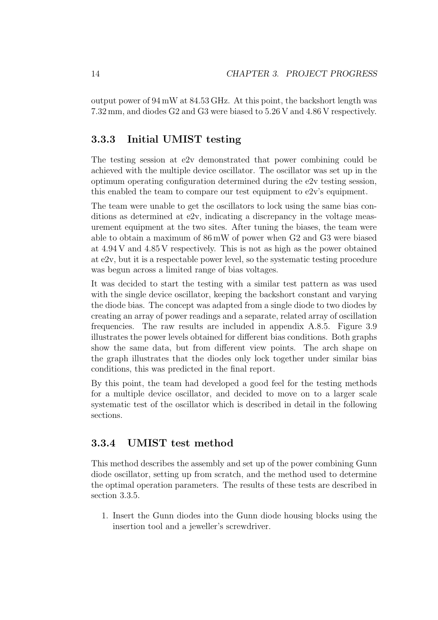output power of 94 mW at 84.53 GHz. At this point, the backshort length was 7.32 mm, and diodes G2 and G3 were biased to 5.26 V and 4.86 V respectively.

#### 3.3.3 Initial UMIST testing

The testing session at e2v demonstrated that power combining could be achieved with the multiple device oscillator. The oscillator was set up in the optimum operating configuration determined during the e2v testing session, this enabled the team to compare our test equipment to e2v's equipment.

The team were unable to get the oscillators to lock using the same bias conditions as determined at e2v, indicating a discrepancy in the voltage measurement equipment at the two sites. After tuning the biases, the team were able to obtain a maximum of 86 mW of power when G2 and G3 were biased at 4.94 V and 4.85 V respectively. This is not as high as the power obtained at e2v, but it is a respectable power level, so the systematic testing procedure was begun across a limited range of bias voltages.

It was decided to start the testing with a similar test pattern as was used with the single device oscillator, keeping the backshort constant and varying the diode bias. The concept was adapted from a single diode to two diodes by creating an array of power readings and a separate, related array of oscillation frequencies. The raw results are included in appendix A.8.5. Figure 3.9 illustrates the power levels obtained for different bias conditions. Both graphs show the same data, but from different view points. The arch shape on the graph illustrates that the diodes only lock together under similar bias conditions, this was predicted in the final report.

By this point, the team had developed a good feel for the testing methods for a multiple device oscillator, and decided to move on to a larger scale systematic test of the oscillator which is described in detail in the following sections.

#### 3.3.4 UMIST test method

This method describes the assembly and set up of the power combining Gunn diode oscillator, setting up from scratch, and the method used to determine the optimal operation parameters. The results of these tests are described in section 3.3.5.

1. Insert the Gunn diodes into the Gunn diode housing blocks using the insertion tool and a jeweller's screwdriver.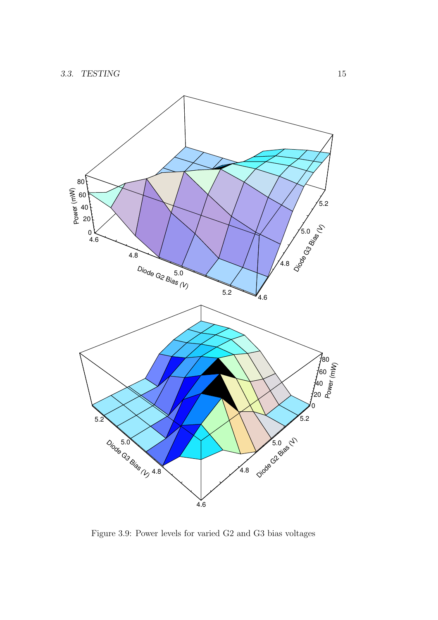

Figure 3.9: Power levels for varied G2 and G3 bias voltages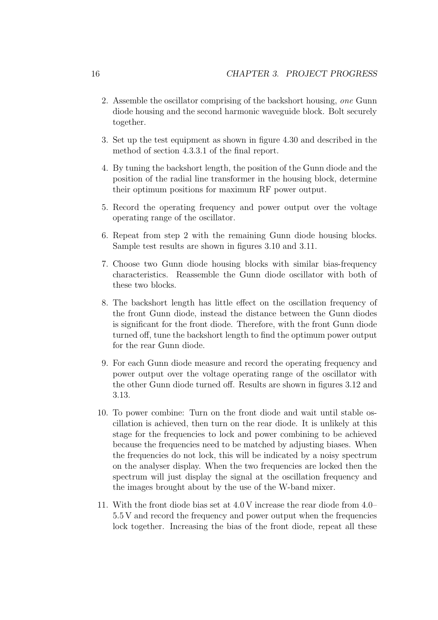- 2. Assemble the oscillator comprising of the backshort housing, one Gunn diode housing and the second harmonic waveguide block. Bolt securely together.
- 3. Set up the test equipment as shown in figure 4.30 and described in the method of section 4.3.3.1 of the final report.
- 4. By tuning the backshort length, the position of the Gunn diode and the position of the radial line transformer in the housing block, determine their optimum positions for maximum RF power output.
- 5. Record the operating frequency and power output over the voltage operating range of the oscillator.
- 6. Repeat from step 2 with the remaining Gunn diode housing blocks. Sample test results are shown in figures 3.10 and 3.11.
- 7. Choose two Gunn diode housing blocks with similar bias-frequency characteristics. Reassemble the Gunn diode oscillator with both of these two blocks.
- 8. The backshort length has little effect on the oscillation frequency of the front Gunn diode, instead the distance between the Gunn diodes is significant for the front diode. Therefore, with the front Gunn diode turned off, tune the backshort length to find the optimum power output for the rear Gunn diode.
- 9. For each Gunn diode measure and record the operating frequency and power output over the voltage operating range of the oscillator with the other Gunn diode turned off. Results are shown in figures 3.12 and 3.13.
- 10. To power combine: Turn on the front diode and wait until stable oscillation is achieved, then turn on the rear diode. It is unlikely at this stage for the frequencies to lock and power combining to be achieved because the frequencies need to be matched by adjusting biases. When the frequencies do not lock, this will be indicated by a noisy spectrum on the analyser display. When the two frequencies are locked then the spectrum will just display the signal at the oscillation frequency and the images brought about by the use of the W-band mixer.
- 11. With the front diode bias set at 4.0 V increase the rear diode from 4.0– 5.5 V and record the frequency and power output when the frequencies lock together. Increasing the bias of the front diode, repeat all these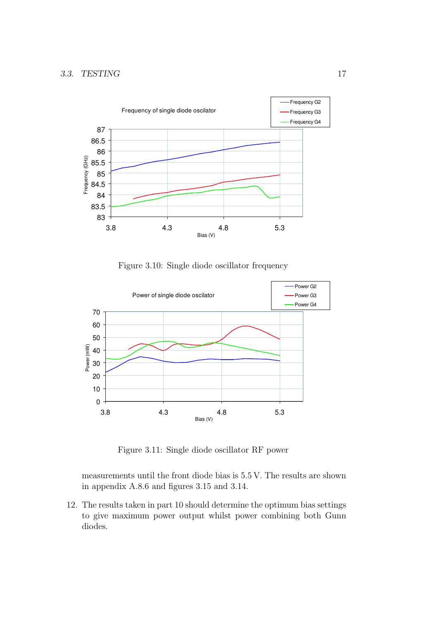

Figure 3.10: Single diode oscillator frequency



Figure 3.11: Single diode oscillator RF power

measurements until the front diode bias is 5.5 V. The results are shown in appendix A.8.6 and figures 3.15 and 3.14.

12. The results taken in part 10 should determine the optimum bias settings to give maximum power output whilst power combining both Gunn diodes.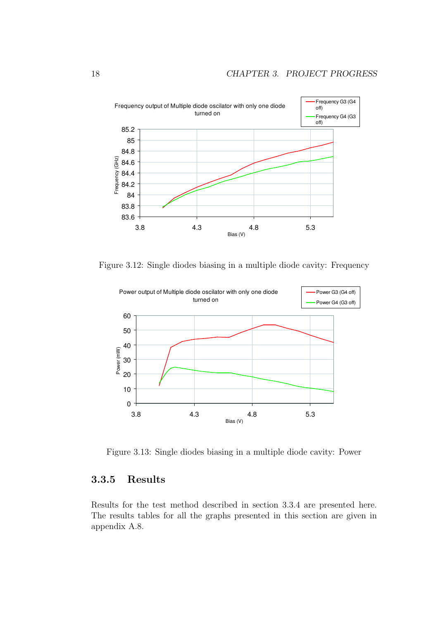

Figure 3.12: Single diodes biasing in a multiple diode cavity: Frequency



Figure 3.13: Single diodes biasing in a multiple diode cavity: Power

#### 3.3.5 Results

Results for the test method described in section 3.3.4 are presented here. The results tables for all the graphs presented in this section are given in appendix A.8.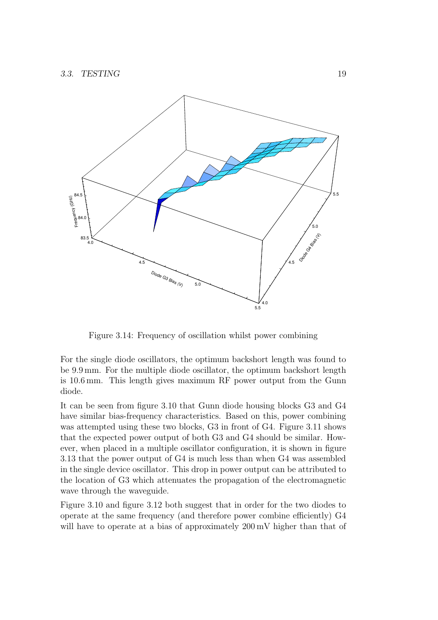

Figure 3.14: Frequency of oscillation whilst power combining

For the single diode oscillators, the optimum backshort length was found to be 9.9 mm. For the multiple diode oscillator, the optimum backshort length is 10.6 mm. This length gives maximum RF power output from the Gunn diode.

It can be seen from figure 3.10 that Gunn diode housing blocks G3 and G4 have similar bias-frequency characteristics. Based on this, power combining was attempted using these two blocks, G3 in front of G4. Figure 3.11 shows that the expected power output of both G3 and G4 should be similar. However, when placed in a multiple oscillator configuration, it is shown in figure 3.13 that the power output of G4 is much less than when G4 was assembled in the single device oscillator. This drop in power output can be attributed to the location of G3 which attenuates the propagation of the electromagnetic wave through the waveguide.

Figure 3.10 and figure 3.12 both suggest that in order for the two diodes to operate at the same frequency (and therefore power combine efficiently) G4 will have to operate at a bias of approximately  $200 \text{ mV}$  higher than that of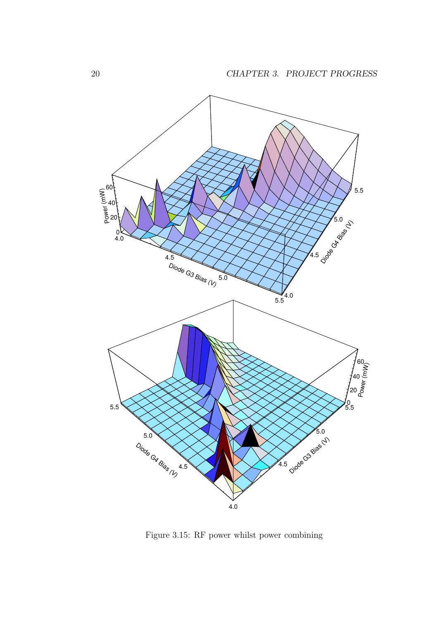

Figure 3.15: RF power whilst power combining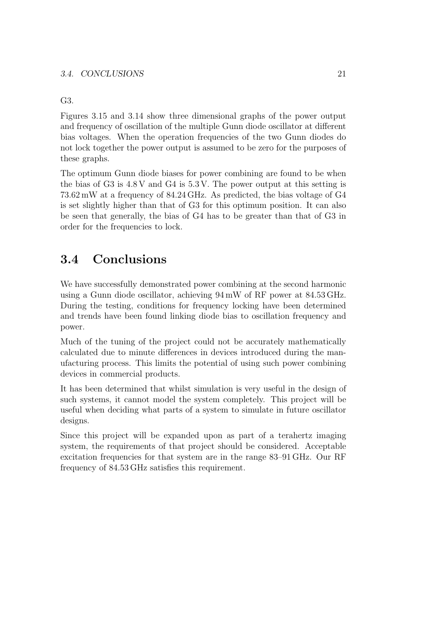#### G3.

Figures 3.15 and 3.14 show three dimensional graphs of the power output and frequency of oscillation of the multiple Gunn diode oscillator at different bias voltages. When the operation frequencies of the two Gunn diodes do not lock together the power output is assumed to be zero for the purposes of these graphs.

The optimum Gunn diode biases for power combining are found to be when the bias of G3 is 4.8 V and G4 is 5.3 V. The power output at this setting is 73.62 mW at a frequency of 84.24 GHz. As predicted, the bias voltage of G4 is set slightly higher than that of G3 for this optimum position. It can also be seen that generally, the bias of G4 has to be greater than that of G3 in order for the frequencies to lock.

# 3.4 Conclusions

We have successfully demonstrated power combining at the second harmonic using a Gunn diode oscillator, achieving 94 mW of RF power at 84.53 GHz. During the testing, conditions for frequency locking have been determined and trends have been found linking diode bias to oscillation frequency and power.

Much of the tuning of the project could not be accurately mathematically calculated due to minute differences in devices introduced during the manufacturing process. This limits the potential of using such power combining devices in commercial products.

It has been determined that whilst simulation is very useful in the design of such systems, it cannot model the system completely. This project will be useful when deciding what parts of a system to simulate in future oscillator designs.

Since this project will be expanded upon as part of a terahertz imaging system, the requirements of that project should be considered. Acceptable excitation frequencies for that system are in the range 83–91 GHz. Our RF frequency of 84.53 GHz satisfies this requirement.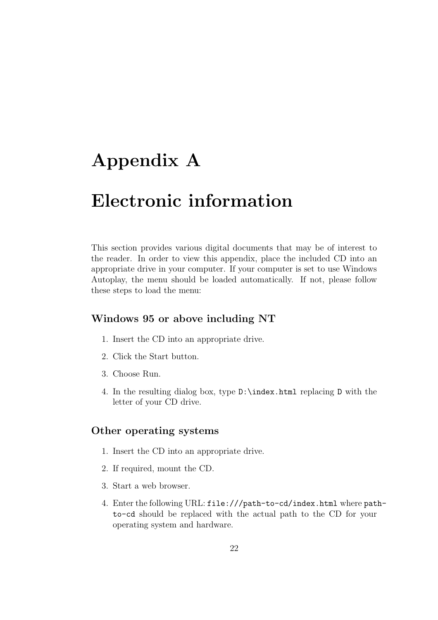# Appendix A

# Electronic information

This section provides various digital documents that may be of interest to the reader. In order to view this appendix, place the included CD into an appropriate drive in your computer. If your computer is set to use Windows Autoplay, the menu should be loaded automatically. If not, please follow these steps to load the menu:

#### Windows 95 or above including NT

- 1. Insert the CD into an appropriate drive.
- 2. Click the Start button.
- 3. Choose Run.
- 4. In the resulting dialog box, type D:\index.html replacing D with the letter of your CD drive.

#### Other operating systems

- 1. Insert the CD into an appropriate drive.
- 2. If required, mount the CD.
- 3. Start a web browser.
- 4. Enter the following URL: file:///path-to-cd/index.html where pathto-cd should be replaced with the actual path to the CD for your operating system and hardware.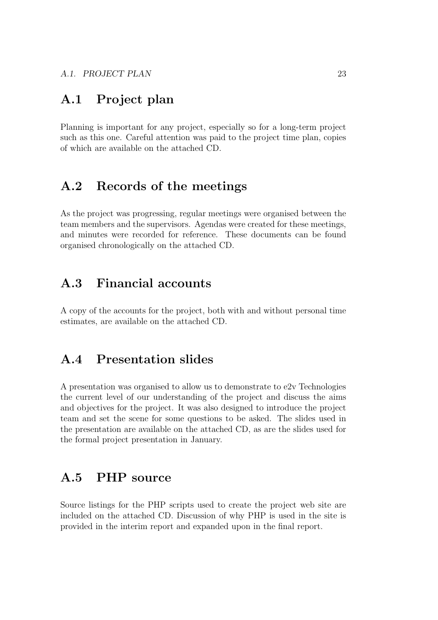# A.1 Project plan

Planning is important for any project, especially so for a long-term project such as this one. Careful attention was paid to the project time plan, copies of which are available on the attached CD.

### A.2 Records of the meetings

As the project was progressing, regular meetings were organised between the team members and the supervisors. Agendas were created for these meetings, and minutes were recorded for reference. These documents can be found organised chronologically on the attached CD.

### A.3 Financial accounts

A copy of the accounts for the project, both with and without personal time estimates, are available on the attached CD.

# A.4 Presentation slides

A presentation was organised to allow us to demonstrate to e2v Technologies the current level of our understanding of the project and discuss the aims and objectives for the project. It was also designed to introduce the project team and set the scene for some questions to be asked. The slides used in the presentation are available on the attached CD, as are the slides used for the formal project presentation in January.

### A.5 PHP source

Source listings for the PHP scripts used to create the project web site are included on the attached CD. Discussion of why PHP is used in the site is provided in the interim report and expanded upon in the final report.